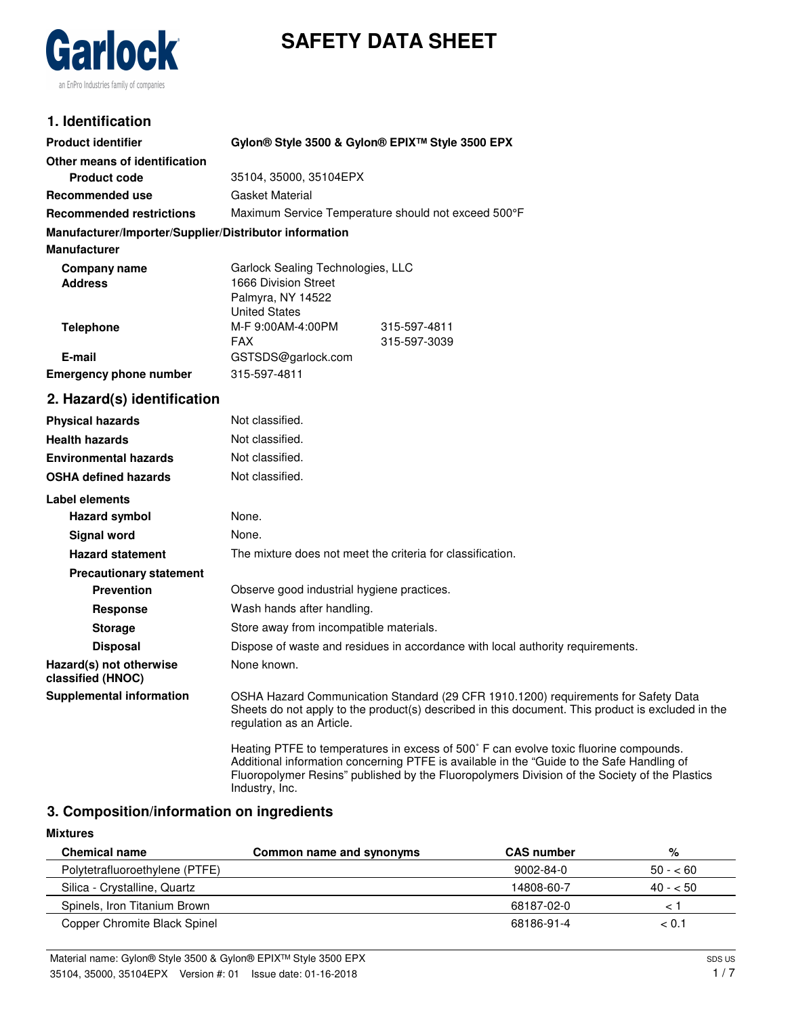# **SAFETY DATA SHEET**



# **1. Identification**

| <b>Product identifier</b>                              | Gylon® Style 3500 & Gylon® EPIX™ Style 3500 EPX                                                                                                                                                                                                                                                       |  |  |
|--------------------------------------------------------|-------------------------------------------------------------------------------------------------------------------------------------------------------------------------------------------------------------------------------------------------------------------------------------------------------|--|--|
| Other means of identification                          |                                                                                                                                                                                                                                                                                                       |  |  |
| <b>Product code</b>                                    | 35104, 35000, 35104EPX                                                                                                                                                                                                                                                                                |  |  |
| <b>Recommended use</b>                                 | <b>Gasket Material</b>                                                                                                                                                                                                                                                                                |  |  |
| <b>Recommended restrictions</b>                        | Maximum Service Temperature should not exceed 500°F                                                                                                                                                                                                                                                   |  |  |
| Manufacturer/Importer/Supplier/Distributor information |                                                                                                                                                                                                                                                                                                       |  |  |
| <b>Manufacturer</b>                                    |                                                                                                                                                                                                                                                                                                       |  |  |
| <b>Company name</b>                                    | Garlock Sealing Technologies, LLC                                                                                                                                                                                                                                                                     |  |  |
| <b>Address</b>                                         | 1666 Division Street<br>Palmyra, NY 14522                                                                                                                                                                                                                                                             |  |  |
|                                                        | <b>United States</b>                                                                                                                                                                                                                                                                                  |  |  |
| <b>Telephone</b>                                       | M-F 9:00AM-4:00PM<br>315-597-4811                                                                                                                                                                                                                                                                     |  |  |
|                                                        | FAX.<br>315-597-3039                                                                                                                                                                                                                                                                                  |  |  |
| E-mail                                                 | GSTSDS@garlock.com                                                                                                                                                                                                                                                                                    |  |  |
| <b>Emergency phone number</b>                          | 315-597-4811                                                                                                                                                                                                                                                                                          |  |  |
| 2. Hazard(s) identification                            |                                                                                                                                                                                                                                                                                                       |  |  |
| <b>Physical hazards</b>                                | Not classified.                                                                                                                                                                                                                                                                                       |  |  |
| <b>Health hazards</b>                                  | Not classified.                                                                                                                                                                                                                                                                                       |  |  |
| <b>Environmental hazards</b>                           | Not classified.                                                                                                                                                                                                                                                                                       |  |  |
| <b>OSHA defined hazards</b>                            | Not classified.                                                                                                                                                                                                                                                                                       |  |  |
| Label elements                                         |                                                                                                                                                                                                                                                                                                       |  |  |
| <b>Hazard symbol</b>                                   | None.                                                                                                                                                                                                                                                                                                 |  |  |
| <b>Signal word</b>                                     | None.                                                                                                                                                                                                                                                                                                 |  |  |
| <b>Hazard statement</b>                                | The mixture does not meet the criteria for classification.                                                                                                                                                                                                                                            |  |  |
| <b>Precautionary statement</b>                         |                                                                                                                                                                                                                                                                                                       |  |  |
| <b>Prevention</b>                                      | Observe good industrial hygiene practices.                                                                                                                                                                                                                                                            |  |  |
| <b>Response</b>                                        | Wash hands after handling.                                                                                                                                                                                                                                                                            |  |  |
| <b>Storage</b>                                         | Store away from incompatible materials.                                                                                                                                                                                                                                                               |  |  |
| <b>Disposal</b>                                        | Dispose of waste and residues in accordance with local authority requirements.                                                                                                                                                                                                                        |  |  |
| Hazard(s) not otherwise<br>classified (HNOC)           | None known.                                                                                                                                                                                                                                                                                           |  |  |
| <b>Supplemental information</b>                        | OSHA Hazard Communication Standard (29 CFR 1910.1200) requirements for Safety Data<br>Sheets do not apply to the product(s) described in this document. This product is excluded in the<br>regulation as an Article.                                                                                  |  |  |
|                                                        | Heating PTFE to temperatures in excess of 500° F can evolve toxic fluorine compounds.<br>Additional information concerning PTFE is available in the "Guide to the Safe Handling of<br>Fluoropolymer Resins" published by the Fluoropolymers Division of the Society of the Plastics<br>Industry, Inc. |  |  |

# **3. Composition/information on ingredients**

#### **Mixtures**

| <b>Chemical name</b>           | Common name and synonyms | <b>CAS number</b> | %         |
|--------------------------------|--------------------------|-------------------|-----------|
| Polytetrafluoroethylene (PTFE) |                          | 9002-84-0         | $50 - 60$ |
| Silica - Crystalline, Quartz   |                          | 14808-60-7        | $40 - 50$ |
| Spinels, Iron Titanium Brown   |                          | 68187-02-0        |           |
| Copper Chromite Black Spinel   |                          | 68186-91-4        | < 0.1     |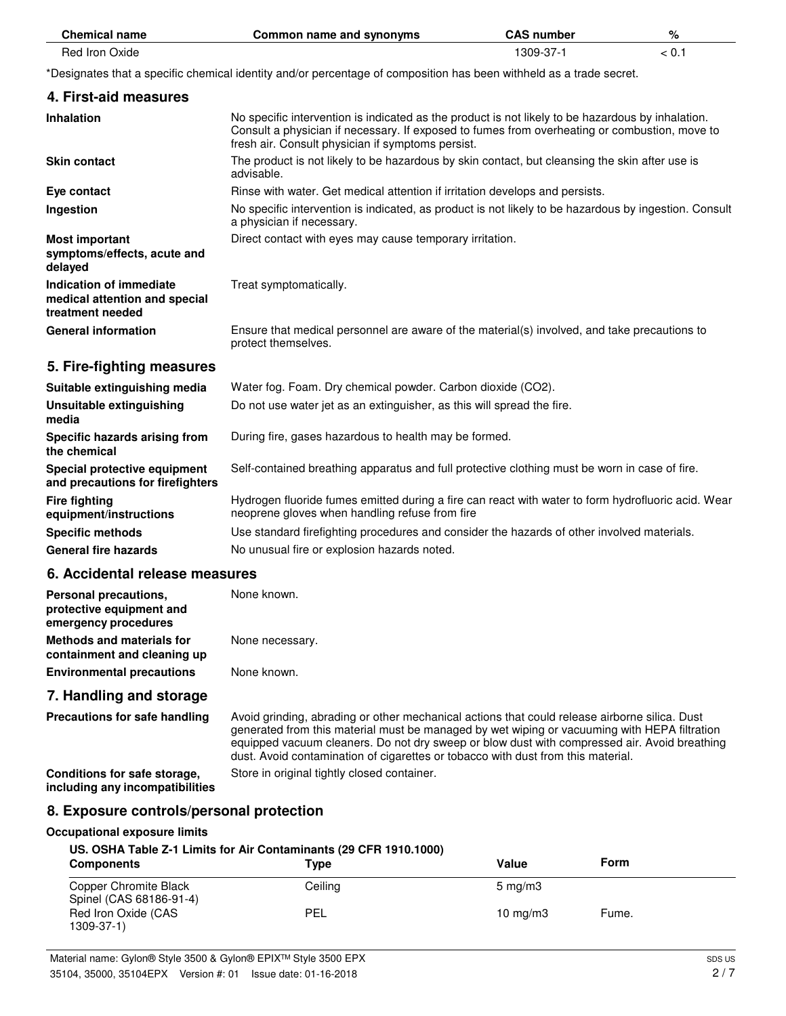| <b>Chemical name</b>                                                         | Common name and synonyms                                                                                                                                                                                                                                | <b>CAS number</b> | %     |
|------------------------------------------------------------------------------|---------------------------------------------------------------------------------------------------------------------------------------------------------------------------------------------------------------------------------------------------------|-------------------|-------|
| Red Iron Oxide                                                               |                                                                                                                                                                                                                                                         | 1309-37-1         | < 0.1 |
|                                                                              | *Designates that a specific chemical identity and/or percentage of composition has been withheld as a trade secret.                                                                                                                                     |                   |       |
| 4. First-aid measures                                                        |                                                                                                                                                                                                                                                         |                   |       |
| <b>Inhalation</b>                                                            | No specific intervention is indicated as the product is not likely to be hazardous by inhalation.<br>Consult a physician if necessary. If exposed to fumes from overheating or combustion, move to<br>fresh air. Consult physician if symptoms persist. |                   |       |
| <b>Skin contact</b>                                                          | The product is not likely to be hazardous by skin contact, but cleansing the skin after use is<br>advisable.                                                                                                                                            |                   |       |
| Eye contact                                                                  | Rinse with water. Get medical attention if irritation develops and persists.                                                                                                                                                                            |                   |       |
| Ingestion                                                                    | No specific intervention is indicated, as product is not likely to be hazardous by ingestion. Consult<br>a physician if necessary.                                                                                                                      |                   |       |
| <b>Most important</b><br>symptoms/effects, acute and<br>delayed              | Direct contact with eyes may cause temporary irritation.                                                                                                                                                                                                |                   |       |
| Indication of immediate<br>medical attention and special<br>treatment needed | Treat symptomatically.                                                                                                                                                                                                                                  |                   |       |
| <b>General information</b>                                                   | Ensure that medical personnel are aware of the material(s) involved, and take precautions to<br>protect themselves.                                                                                                                                     |                   |       |
| 5. Fire-fighting measures                                                    |                                                                                                                                                                                                                                                         |                   |       |
| Suitable extinguishing media                                                 | Water fog. Foam. Dry chemical powder. Carbon dioxide (CO2).                                                                                                                                                                                             |                   |       |
| Unsuitable extinguishing<br>media                                            | Do not use water jet as an extinguisher, as this will spread the fire.                                                                                                                                                                                  |                   |       |
| Specific hazards arising from<br>the chemical                                | During fire, gases hazardous to health may be formed.                                                                                                                                                                                                   |                   |       |
| Special protective equipment<br>and precautions for firefighters             | Self-contained breathing apparatus and full protective clothing must be worn in case of fire.                                                                                                                                                           |                   |       |
| <b>Fire fighting</b><br>equipment/instructions                               | Hydrogen fluoride fumes emitted during a fire can react with water to form hydrofluoric acid. Wear<br>neoprene gloves when handling refuse from fire                                                                                                    |                   |       |
| <b>Specific methods</b>                                                      | Use standard firefighting procedures and consider the hazards of other involved materials.                                                                                                                                                              |                   |       |
| <b>General fire hazards</b>                                                  | No unusual fire or explosion hazards noted.                                                                                                                                                                                                             |                   |       |
| 6. Accidental release measures                                               |                                                                                                                                                                                                                                                         |                   |       |
| Personal precautions,<br>protective equipment and<br>emergency procedures    | None known.                                                                                                                                                                                                                                             |                   |       |

# **7. Handling and storage Precautions for safe handling**

**containment and cleaning up**

Avoid grinding, abrading or other mechanical actions that could release airborne silica. Dust generated from this material must be managed by wet wiping or vacuuming with HEPA filtration equipped vacuum cleaners. Do not dry sweep or blow dust with compressed air. Avoid breathing dust. Avoid contamination of cigarettes or tobacco with dust from this material.

**Conditions for safe storage, Store in original tightly closed container. including any incompatibilities**

## **8. Exposure controls/personal protection**

**Methods and materials for** None necessary.

**Environmental precautions** None known.

### **Occupational exposure limits**

## **US. OSHA Table Z-1 Limits for Air Contaminants (29 CFR 1910.1000)**

| <b>Components</b>                                | Type    | Value            | <b>Form</b> |  |
|--------------------------------------------------|---------|------------------|-------------|--|
| Copper Chromite Black<br>Spinel (CAS 68186-91-4) | Ceiling | $5 \text{ mg/m}$ |             |  |
| Red Iron Oxide (CAS<br>1309-37-1)                | PEL     | 10 $mq/m3$       | Fume.       |  |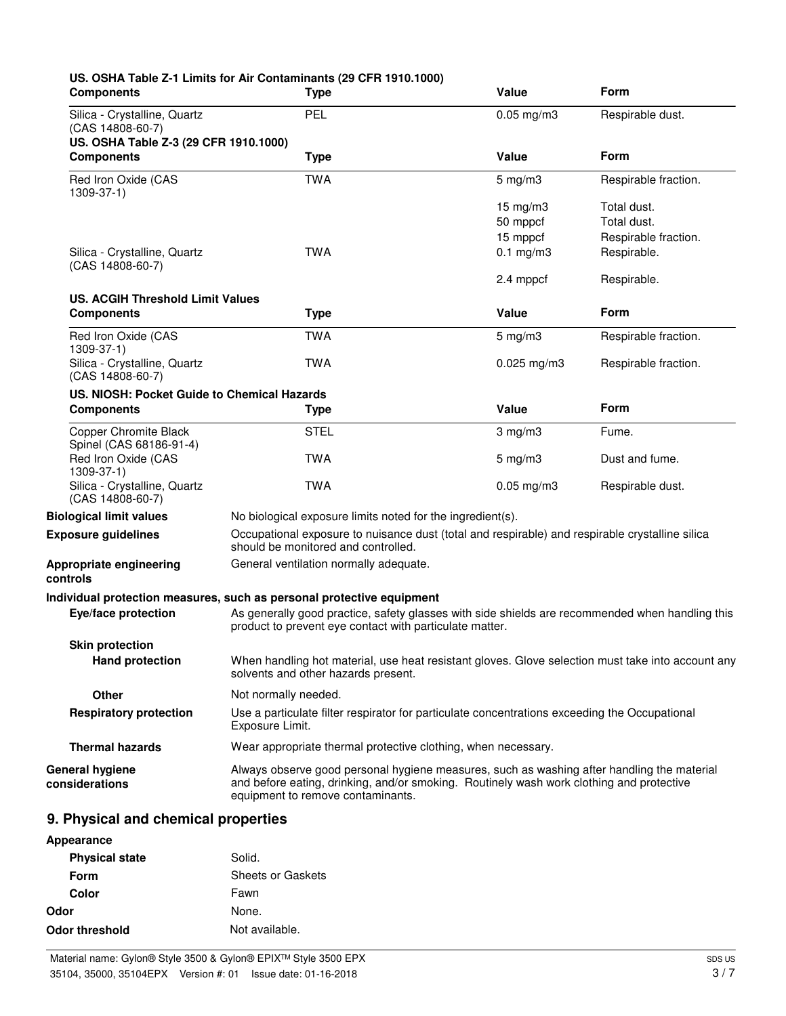| <b>Components</b>                                                                           | US. OSHA Table Z-1 Limits for Air Contaminants (29 CFR 1910.1000)<br><b>Type</b>                                                                                                                                            | Value                                                                                             | Form                                                              |
|---------------------------------------------------------------------------------------------|-----------------------------------------------------------------------------------------------------------------------------------------------------------------------------------------------------------------------------|---------------------------------------------------------------------------------------------------|-------------------------------------------------------------------|
| Silica - Crystalline, Quartz<br>$(CAS 14808-60-7)$<br>US. OSHA Table Z-3 (29 CFR 1910.1000) | PEL                                                                                                                                                                                                                         | $0.05$ mg/m $3$                                                                                   | Respirable dust.                                                  |
| <b>Components</b>                                                                           | <b>Type</b>                                                                                                                                                                                                                 | Value                                                                                             | Form                                                              |
| Red Iron Oxide (CAS<br>$1309 - 37 - 1$                                                      | <b>TWA</b>                                                                                                                                                                                                                  | $5 \text{ mg/m}$ 3                                                                                | Respirable fraction.                                              |
| Silica - Crystalline, Quartz                                                                | <b>TWA</b>                                                                                                                                                                                                                  | $15 \text{ mg/m}$<br>50 mppcf<br>15 mppcf<br>$0.1$ mg/m $3$                                       | Total dust.<br>Total dust.<br>Respirable fraction.<br>Respirable. |
| (CAS 14808-60-7)                                                                            |                                                                                                                                                                                                                             | 2.4 mppcf                                                                                         | Respirable.                                                       |
| <b>US. ACGIH Threshold Limit Values</b>                                                     |                                                                                                                                                                                                                             |                                                                                                   |                                                                   |
| <b>Components</b>                                                                           | <b>Type</b>                                                                                                                                                                                                                 | <b>Value</b>                                                                                      | Form                                                              |
| Red Iron Oxide (CAS<br>1309-37-1)                                                           | <b>TWA</b>                                                                                                                                                                                                                  | $5$ mg/m $3$                                                                                      | Respirable fraction.                                              |
| Silica - Crystalline, Quartz<br>$(CAS 14808-60-7)$                                          | <b>TWA</b>                                                                                                                                                                                                                  | $0.025$ mg/m $3$                                                                                  | Respirable fraction.                                              |
| US. NIOSH: Pocket Guide to Chemical Hazards                                                 |                                                                                                                                                                                                                             |                                                                                                   |                                                                   |
| <b>Components</b>                                                                           | <b>Type</b>                                                                                                                                                                                                                 | <b>Value</b>                                                                                      | <b>Form</b>                                                       |
| <b>Copper Chromite Black</b><br>Spinel (CAS 68186-91-4)                                     | <b>STEL</b>                                                                                                                                                                                                                 | $3$ mg/m $3$                                                                                      | Fume.                                                             |
| Red Iron Oxide (CAS<br>1309-37-1)                                                           | <b>TWA</b>                                                                                                                                                                                                                  | $5 \text{ mg/m}$ 3                                                                                | Dust and fume.                                                    |
| Silica - Crystalline, Quartz<br>$(CAS 14808-60-7)$                                          | <b>TWA</b>                                                                                                                                                                                                                  | $0.05$ mg/m $3$                                                                                   | Respirable dust.                                                  |
| <b>Biological limit values</b>                                                              | No biological exposure limits noted for the ingredient(s).                                                                                                                                                                  |                                                                                                   |                                                                   |
| <b>Exposure guidelines</b>                                                                  | should be monitored and controlled.                                                                                                                                                                                         | Occupational exposure to nuisance dust (total and respirable) and respirable crystalline silica   |                                                                   |
| Appropriate engineering<br>controls                                                         | General ventilation normally adequate.                                                                                                                                                                                      |                                                                                                   |                                                                   |
|                                                                                             | Individual protection measures, such as personal protective equipment                                                                                                                                                       |                                                                                                   |                                                                   |
| Eye/face protection                                                                         | product to prevent eye contact with particulate matter.                                                                                                                                                                     | As generally good practice, safety glasses with side shields are recommended when handling this   |                                                                   |
| <b>Skin protection</b>                                                                      |                                                                                                                                                                                                                             |                                                                                                   |                                                                   |
| <b>Hand protection</b>                                                                      | solvents and other hazards present.                                                                                                                                                                                         | When handling hot material, use heat resistant gloves. Glove selection must take into account any |                                                                   |
| <b>Other</b>                                                                                | Not normally needed.                                                                                                                                                                                                        |                                                                                                   |                                                                   |
| <b>Respiratory protection</b>                                                               | Exposure Limit.                                                                                                                                                                                                             | Use a particulate filter respirator for particulate concentrations exceeding the Occupational     |                                                                   |
| <b>Thermal hazards</b>                                                                      | Wear appropriate thermal protective clothing, when necessary.                                                                                                                                                               |                                                                                                   |                                                                   |
| <b>General hygiene</b><br>considerations                                                    | Always observe good personal hygiene measures, such as washing after handling the material<br>and before eating, drinking, and/or smoking. Routinely wash work clothing and protective<br>equipment to remove contaminants. |                                                                                                   |                                                                   |
| 9. Physical and chemical properties                                                         |                                                                                                                                                                                                                             |                                                                                                   |                                                                   |
| <b>Annesrance</b>                                                                           |                                                                                                                                                                                                                             |                                                                                                   |                                                                   |

| Appearance            |                   |
|-----------------------|-------------------|
| <b>Physical state</b> | Solid.            |
| Form                  | Sheets or Gaskets |
| Color                 | Fawn              |
| Odor                  | None.             |
| Odor threshold        | Not available.    |
|                       |                   |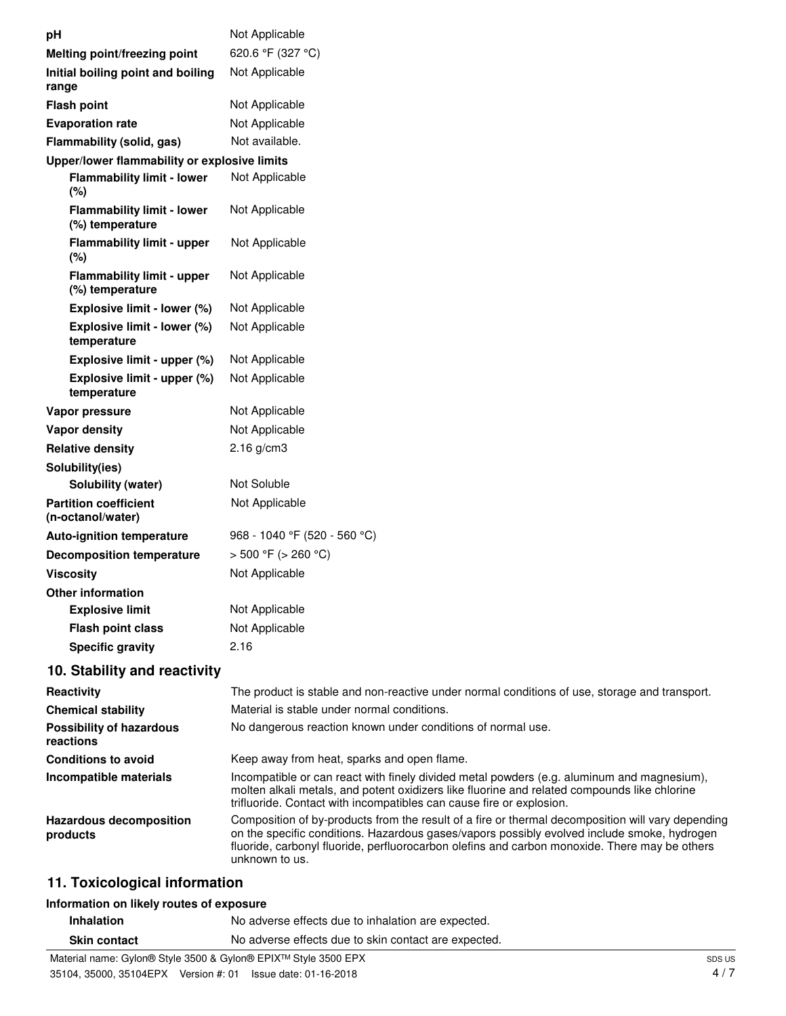| pН                                                   | Not Applicable                                                                                                                                                                                                                                                                                                      |
|------------------------------------------------------|---------------------------------------------------------------------------------------------------------------------------------------------------------------------------------------------------------------------------------------------------------------------------------------------------------------------|
| Melting point/freezing point                         | 620.6 °F (327 °C)                                                                                                                                                                                                                                                                                                   |
| Initial boiling point and boiling<br>range           | Not Applicable                                                                                                                                                                                                                                                                                                      |
| <b>Flash point</b>                                   | Not Applicable                                                                                                                                                                                                                                                                                                      |
| <b>Evaporation rate</b>                              | Not Applicable                                                                                                                                                                                                                                                                                                      |
| Flammability (solid, gas)                            | Not available.                                                                                                                                                                                                                                                                                                      |
| Upper/lower flammability or explosive limits         |                                                                                                                                                                                                                                                                                                                     |
| <b>Flammability limit - lower</b><br>(%)             | Not Applicable                                                                                                                                                                                                                                                                                                      |
| <b>Flammability limit - lower</b><br>(%) temperature | Not Applicable                                                                                                                                                                                                                                                                                                      |
| <b>Flammability limit - upper</b><br>(%)             | Not Applicable                                                                                                                                                                                                                                                                                                      |
| <b>Flammability limit - upper</b><br>(%) temperature | Not Applicable                                                                                                                                                                                                                                                                                                      |
| Explosive limit - lower (%)                          | Not Applicable                                                                                                                                                                                                                                                                                                      |
| Explosive limit - lower (%)<br>temperature           | Not Applicable                                                                                                                                                                                                                                                                                                      |
| Explosive limit - upper (%)                          | Not Applicable                                                                                                                                                                                                                                                                                                      |
| Explosive limit - upper (%)<br>temperature           | Not Applicable                                                                                                                                                                                                                                                                                                      |
| Vapor pressure                                       | Not Applicable                                                                                                                                                                                                                                                                                                      |
| <b>Vapor density</b>                                 | Not Applicable                                                                                                                                                                                                                                                                                                      |
| <b>Relative density</b>                              | $2.16$ g/cm3                                                                                                                                                                                                                                                                                                        |
| Solubility(ies)                                      |                                                                                                                                                                                                                                                                                                                     |
| Solubility (water)                                   | Not Soluble                                                                                                                                                                                                                                                                                                         |
| <b>Partition coefficient</b><br>(n-octanol/water)    | Not Applicable                                                                                                                                                                                                                                                                                                      |
| <b>Auto-ignition temperature</b>                     | 968 - 1040 °F (520 - 560 °C)                                                                                                                                                                                                                                                                                        |
| <b>Decomposition temperature</b>                     | $>$ 500 °F ( $>$ 260 °C)                                                                                                                                                                                                                                                                                            |
| <b>Viscosity</b>                                     | Not Applicable                                                                                                                                                                                                                                                                                                      |
| Other information                                    |                                                                                                                                                                                                                                                                                                                     |
| <b>Explosive limit</b>                               | Not Applicable                                                                                                                                                                                                                                                                                                      |
| Flash point class                                    | Not Applicable                                                                                                                                                                                                                                                                                                      |
| <b>Specific gravity</b>                              | 2.16                                                                                                                                                                                                                                                                                                                |
| 10. Stability and reactivity                         |                                                                                                                                                                                                                                                                                                                     |
| Reactivity                                           | The product is stable and non-reactive under normal conditions of use, storage and transport.                                                                                                                                                                                                                       |
| <b>Chemical stability</b>                            | Material is stable under normal conditions.                                                                                                                                                                                                                                                                         |
| <b>Possibility of hazardous</b><br>reactions         | No dangerous reaction known under conditions of normal use.                                                                                                                                                                                                                                                         |
| <b>Conditions to avoid</b>                           | Keep away from heat, sparks and open flame.                                                                                                                                                                                                                                                                         |
| Incompatible materials                               | Incompatible or can react with finely divided metal powders (e.g. aluminum and magnesium),<br>molten alkali metals, and potent oxidizers like fluorine and related compounds like chlorine<br>trifluoride. Contact with incompatibles can cause fire or explosion.                                                  |
| <b>Hazardous decomposition</b><br>products           | Composition of by-products from the result of a fire or thermal decomposition will vary depending<br>on the specific conditions. Hazardous gases/vapors possibly evolved include smoke, hydrogen<br>fluoride, carbonyl fluoride, perfluorocarbon olefins and carbon monoxide. There may be others<br>unknown to us. |

# **11. Toxicological information**

# **Information on likely routes of exposure**

| <b>Inhalation</b>   | No adverse effects due to inhalation are expected.   |
|---------------------|------------------------------------------------------|
| <b>Skin contact</b> | No adverse effects due to skin contact are expected. |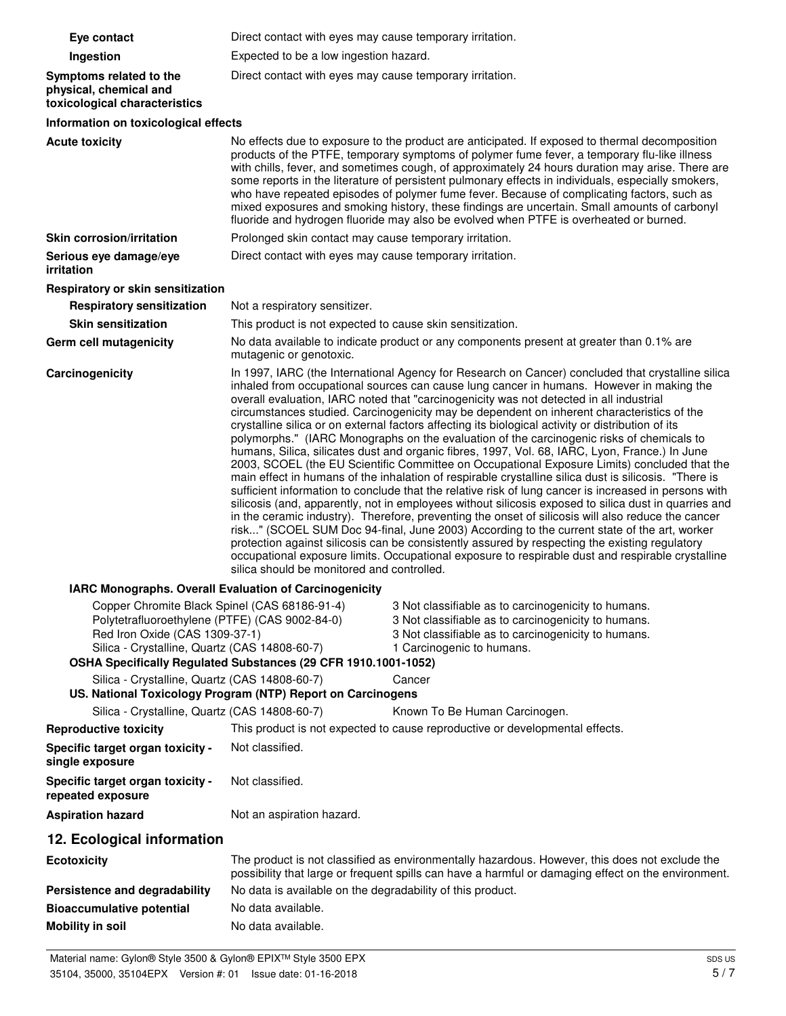| Eye contact                                                                                                                       | Direct contact with eyes may cause temporary irritation.                                                                                                                                                                                                                                                                                                                                                                                                                                                                                                                                                                                                                                                                                                                                                                                                                                                                                                                                                                                                                                                                                                                                                                                                                                                                                                                                                                                                                                                                                                                         |                                                                                                                                                                                                                                                                                                                                                                                                                                                                                                                                                                                                                                                                                                 |  |
|-----------------------------------------------------------------------------------------------------------------------------------|----------------------------------------------------------------------------------------------------------------------------------------------------------------------------------------------------------------------------------------------------------------------------------------------------------------------------------------------------------------------------------------------------------------------------------------------------------------------------------------------------------------------------------------------------------------------------------------------------------------------------------------------------------------------------------------------------------------------------------------------------------------------------------------------------------------------------------------------------------------------------------------------------------------------------------------------------------------------------------------------------------------------------------------------------------------------------------------------------------------------------------------------------------------------------------------------------------------------------------------------------------------------------------------------------------------------------------------------------------------------------------------------------------------------------------------------------------------------------------------------------------------------------------------------------------------------------------|-------------------------------------------------------------------------------------------------------------------------------------------------------------------------------------------------------------------------------------------------------------------------------------------------------------------------------------------------------------------------------------------------------------------------------------------------------------------------------------------------------------------------------------------------------------------------------------------------------------------------------------------------------------------------------------------------|--|
| Ingestion                                                                                                                         | Expected to be a low ingestion hazard.                                                                                                                                                                                                                                                                                                                                                                                                                                                                                                                                                                                                                                                                                                                                                                                                                                                                                                                                                                                                                                                                                                                                                                                                                                                                                                                                                                                                                                                                                                                                           |                                                                                                                                                                                                                                                                                                                                                                                                                                                                                                                                                                                                                                                                                                 |  |
| Symptoms related to the<br>physical, chemical and<br>toxicological characteristics                                                | Direct contact with eyes may cause temporary irritation.                                                                                                                                                                                                                                                                                                                                                                                                                                                                                                                                                                                                                                                                                                                                                                                                                                                                                                                                                                                                                                                                                                                                                                                                                                                                                                                                                                                                                                                                                                                         |                                                                                                                                                                                                                                                                                                                                                                                                                                                                                                                                                                                                                                                                                                 |  |
| Information on toxicological effects                                                                                              |                                                                                                                                                                                                                                                                                                                                                                                                                                                                                                                                                                                                                                                                                                                                                                                                                                                                                                                                                                                                                                                                                                                                                                                                                                                                                                                                                                                                                                                                                                                                                                                  |                                                                                                                                                                                                                                                                                                                                                                                                                                                                                                                                                                                                                                                                                                 |  |
| <b>Acute toxicity</b>                                                                                                             |                                                                                                                                                                                                                                                                                                                                                                                                                                                                                                                                                                                                                                                                                                                                                                                                                                                                                                                                                                                                                                                                                                                                                                                                                                                                                                                                                                                                                                                                                                                                                                                  | No effects due to exposure to the product are anticipated. If exposed to thermal decomposition<br>products of the PTFE, temporary symptoms of polymer fume fever, a temporary flu-like illness<br>with chills, fever, and sometimes cough, of approximately 24 hours duration may arise. There are<br>some reports in the literature of persistent pulmonary effects in individuals, especially smokers,<br>who have repeated episodes of polymer fume fever. Because of complicating factors, such as<br>mixed exposures and smoking history, these findings are uncertain. Small amounts of carbonyl<br>fluoride and hydrogen fluoride may also be evolved when PTFE is overheated or burned. |  |
| <b>Skin corrosion/irritation</b>                                                                                                  | Prolonged skin contact may cause temporary irritation.                                                                                                                                                                                                                                                                                                                                                                                                                                                                                                                                                                                                                                                                                                                                                                                                                                                                                                                                                                                                                                                                                                                                                                                                                                                                                                                                                                                                                                                                                                                           |                                                                                                                                                                                                                                                                                                                                                                                                                                                                                                                                                                                                                                                                                                 |  |
| Serious eye damage/eye<br>irritation                                                                                              | Direct contact with eyes may cause temporary irritation.                                                                                                                                                                                                                                                                                                                                                                                                                                                                                                                                                                                                                                                                                                                                                                                                                                                                                                                                                                                                                                                                                                                                                                                                                                                                                                                                                                                                                                                                                                                         |                                                                                                                                                                                                                                                                                                                                                                                                                                                                                                                                                                                                                                                                                                 |  |
| Respiratory or skin sensitization                                                                                                 |                                                                                                                                                                                                                                                                                                                                                                                                                                                                                                                                                                                                                                                                                                                                                                                                                                                                                                                                                                                                                                                                                                                                                                                                                                                                                                                                                                                                                                                                                                                                                                                  |                                                                                                                                                                                                                                                                                                                                                                                                                                                                                                                                                                                                                                                                                                 |  |
| <b>Respiratory sensitization</b>                                                                                                  | Not a respiratory sensitizer.                                                                                                                                                                                                                                                                                                                                                                                                                                                                                                                                                                                                                                                                                                                                                                                                                                                                                                                                                                                                                                                                                                                                                                                                                                                                                                                                                                                                                                                                                                                                                    |                                                                                                                                                                                                                                                                                                                                                                                                                                                                                                                                                                                                                                                                                                 |  |
| <b>Skin sensitization</b>                                                                                                         | This product is not expected to cause skin sensitization.                                                                                                                                                                                                                                                                                                                                                                                                                                                                                                                                                                                                                                                                                                                                                                                                                                                                                                                                                                                                                                                                                                                                                                                                                                                                                                                                                                                                                                                                                                                        |                                                                                                                                                                                                                                                                                                                                                                                                                                                                                                                                                                                                                                                                                                 |  |
| <b>Germ cell mutagenicity</b>                                                                                                     | mutagenic or genotoxic.                                                                                                                                                                                                                                                                                                                                                                                                                                                                                                                                                                                                                                                                                                                                                                                                                                                                                                                                                                                                                                                                                                                                                                                                                                                                                                                                                                                                                                                                                                                                                          | No data available to indicate product or any components present at greater than 0.1% are                                                                                                                                                                                                                                                                                                                                                                                                                                                                                                                                                                                                        |  |
| Carcinogenicity                                                                                                                   | In 1997, IARC (the International Agency for Research on Cancer) concluded that crystalline silica<br>inhaled from occupational sources can cause lung cancer in humans. However in making the<br>overall evaluation, IARC noted that "carcinogenicity was not detected in all industrial<br>circumstances studied. Carcinogenicity may be dependent on inherent characteristics of the<br>crystalline silica or on external factors affecting its biological activity or distribution of its<br>polymorphs." (IARC Monographs on the evaluation of the carcinogenic risks of chemicals to<br>humans, Silica, silicates dust and organic fibres, 1997, Vol. 68, IARC, Lyon, France.) In June<br>2003, SCOEL (the EU Scientific Committee on Occupational Exposure Limits) concluded that the<br>main effect in humans of the inhalation of respirable crystalline silica dust is silicosis. "There is<br>sufficient information to conclude that the relative risk of lung cancer is increased in persons with<br>silicosis (and, apparently, not in employees without silicosis exposed to silica dust in quarries and<br>in the ceramic industry). Therefore, preventing the onset of silicosis will also reduce the cancer<br>risk" (SCOEL SUM Doc 94-final, June 2003) According to the current state of the art, worker<br>protection against silicosis can be consistently assured by respecting the existing regulatory<br>occupational exposure limits. Occupational exposure to respirable dust and respirable crystalline<br>silica should be monitored and controlled. |                                                                                                                                                                                                                                                                                                                                                                                                                                                                                                                                                                                                                                                                                                 |  |
| IARC Monographs. Overall Evaluation of Carcinogenicity<br>Copper Chromite Black Spinel (CAS 68186-91-4)                           |                                                                                                                                                                                                                                                                                                                                                                                                                                                                                                                                                                                                                                                                                                                                                                                                                                                                                                                                                                                                                                                                                                                                                                                                                                                                                                                                                                                                                                                                                                                                                                                  | 3 Not classifiable as to carcinogenicity to humans.                                                                                                                                                                                                                                                                                                                                                                                                                                                                                                                                                                                                                                             |  |
| Polytetrafluoroethylene (PTFE) (CAS 9002-84-0)<br>Red Iron Oxide (CAS 1309-37-1)<br>Silica - Crystalline, Quartz (CAS 14808-60-7) | OSHA Specifically Regulated Substances (29 CFR 1910.1001-1052)                                                                                                                                                                                                                                                                                                                                                                                                                                                                                                                                                                                                                                                                                                                                                                                                                                                                                                                                                                                                                                                                                                                                                                                                                                                                                                                                                                                                                                                                                                                   | 3 Not classifiable as to carcinogenicity to humans.<br>3 Not classifiable as to carcinogenicity to humans.<br>1 Carcinogenic to humans.                                                                                                                                                                                                                                                                                                                                                                                                                                                                                                                                                         |  |
| Silica - Crystalline, Quartz (CAS 14808-60-7)                                                                                     | US. National Toxicology Program (NTP) Report on Carcinogens                                                                                                                                                                                                                                                                                                                                                                                                                                                                                                                                                                                                                                                                                                                                                                                                                                                                                                                                                                                                                                                                                                                                                                                                                                                                                                                                                                                                                                                                                                                      | Cancer                                                                                                                                                                                                                                                                                                                                                                                                                                                                                                                                                                                                                                                                                          |  |
| Silica - Crystalline, Quartz (CAS 14808-60-7)                                                                                     |                                                                                                                                                                                                                                                                                                                                                                                                                                                                                                                                                                                                                                                                                                                                                                                                                                                                                                                                                                                                                                                                                                                                                                                                                                                                                                                                                                                                                                                                                                                                                                                  | Known To Be Human Carcinogen.                                                                                                                                                                                                                                                                                                                                                                                                                                                                                                                                                                                                                                                                   |  |
| <b>Reproductive toxicity</b>                                                                                                      |                                                                                                                                                                                                                                                                                                                                                                                                                                                                                                                                                                                                                                                                                                                                                                                                                                                                                                                                                                                                                                                                                                                                                                                                                                                                                                                                                                                                                                                                                                                                                                                  | This product is not expected to cause reproductive or developmental effects.                                                                                                                                                                                                                                                                                                                                                                                                                                                                                                                                                                                                                    |  |
| Specific target organ toxicity -<br>single exposure                                                                               | Not classified.                                                                                                                                                                                                                                                                                                                                                                                                                                                                                                                                                                                                                                                                                                                                                                                                                                                                                                                                                                                                                                                                                                                                                                                                                                                                                                                                                                                                                                                                                                                                                                  |                                                                                                                                                                                                                                                                                                                                                                                                                                                                                                                                                                                                                                                                                                 |  |
| Specific target organ toxicity -<br>repeated exposure                                                                             | Not classified.                                                                                                                                                                                                                                                                                                                                                                                                                                                                                                                                                                                                                                                                                                                                                                                                                                                                                                                                                                                                                                                                                                                                                                                                                                                                                                                                                                                                                                                                                                                                                                  |                                                                                                                                                                                                                                                                                                                                                                                                                                                                                                                                                                                                                                                                                                 |  |
| <b>Aspiration hazard</b>                                                                                                          | Not an aspiration hazard.                                                                                                                                                                                                                                                                                                                                                                                                                                                                                                                                                                                                                                                                                                                                                                                                                                                                                                                                                                                                                                                                                                                                                                                                                                                                                                                                                                                                                                                                                                                                                        |                                                                                                                                                                                                                                                                                                                                                                                                                                                                                                                                                                                                                                                                                                 |  |
| 12. Ecological information                                                                                                        |                                                                                                                                                                                                                                                                                                                                                                                                                                                                                                                                                                                                                                                                                                                                                                                                                                                                                                                                                                                                                                                                                                                                                                                                                                                                                                                                                                                                                                                                                                                                                                                  |                                                                                                                                                                                                                                                                                                                                                                                                                                                                                                                                                                                                                                                                                                 |  |
| <b>Ecotoxicity</b>                                                                                                                |                                                                                                                                                                                                                                                                                                                                                                                                                                                                                                                                                                                                                                                                                                                                                                                                                                                                                                                                                                                                                                                                                                                                                                                                                                                                                                                                                                                                                                                                                                                                                                                  | The product is not classified as environmentally hazardous. However, this does not exclude the<br>possibility that large or frequent spills can have a harmful or damaging effect on the environment.                                                                                                                                                                                                                                                                                                                                                                                                                                                                                           |  |
| Persistence and degradability                                                                                                     | No data is available on the degradability of this product.                                                                                                                                                                                                                                                                                                                                                                                                                                                                                                                                                                                                                                                                                                                                                                                                                                                                                                                                                                                                                                                                                                                                                                                                                                                                                                                                                                                                                                                                                                                       |                                                                                                                                                                                                                                                                                                                                                                                                                                                                                                                                                                                                                                                                                                 |  |
| <b>Bioaccumulative potential</b>                                                                                                  | No data available.                                                                                                                                                                                                                                                                                                                                                                                                                                                                                                                                                                                                                                                                                                                                                                                                                                                                                                                                                                                                                                                                                                                                                                                                                                                                                                                                                                                                                                                                                                                                                               |                                                                                                                                                                                                                                                                                                                                                                                                                                                                                                                                                                                                                                                                                                 |  |
| <b>Mobility in soil</b>                                                                                                           | No data available.                                                                                                                                                                                                                                                                                                                                                                                                                                                                                                                                                                                                                                                                                                                                                                                                                                                                                                                                                                                                                                                                                                                                                                                                                                                                                                                                                                                                                                                                                                                                                               |                                                                                                                                                                                                                                                                                                                                                                                                                                                                                                                                                                                                                                                                                                 |  |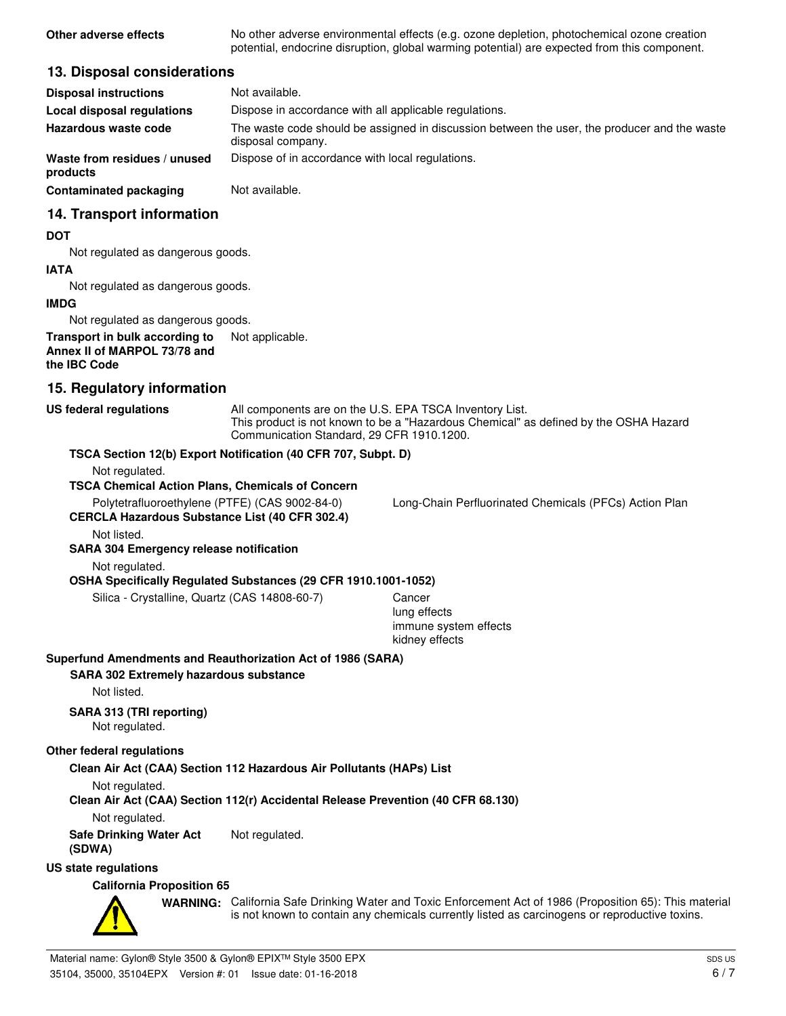**Other adverse effects** No other adverse environmental effects (e.g. ozone depletion, photochemical ozone creation potential, endocrine disruption, global warming potential) are expected from this component.

## **13. Disposal considerations**

| <b>Disposal instructions</b>             | Not available.                                                                                                    |
|------------------------------------------|-------------------------------------------------------------------------------------------------------------------|
| Local disposal regulations               | Dispose in accordance with all applicable regulations.                                                            |
| Hazardous waste code                     | The waste code should be assigned in discussion between the user, the producer and the waste<br>disposal company. |
| Waste from residues / unused<br>products | Dispose of in accordance with local regulations.                                                                  |
| <b>Contaminated packaging</b>            | Not available.                                                                                                    |

## **14. Transport information**

#### **DOT**

Not regulated as dangerous goods.

#### **IATA**

Not regulated as dangerous goods.

#### **IMDG**

Not regulated as dangerous goods.

#### **Transport in bulk according to** Not applicable. **Annex II of MARPOL 73/78 and the IBC Code**

# **15. Regulatory information**

| <b>US federal regulations</b>                                                                                                                                             | All components are on the U.S. EPA TSCA Inventory List.<br>This product is not known to be a "Hazardous Chemical" as defined by the OSHA Hazard<br>Communication Standard, 29 CFR 1910.1200. |                                                                                                                                                                                                            |  |
|---------------------------------------------------------------------------------------------------------------------------------------------------------------------------|----------------------------------------------------------------------------------------------------------------------------------------------------------------------------------------------|------------------------------------------------------------------------------------------------------------------------------------------------------------------------------------------------------------|--|
| TSCA Section 12(b) Export Notification (40 CFR 707, Subpt. D)                                                                                                             |                                                                                                                                                                                              |                                                                                                                                                                                                            |  |
| Not regulated.<br><b>TSCA Chemical Action Plans, Chemicals of Concern</b>                                                                                                 |                                                                                                                                                                                              |                                                                                                                                                                                                            |  |
| Polytetrafluoroethylene (PTFE) (CAS 9002-84-0)<br><b>CERCLA Hazardous Substance List (40 CFR 302.4)</b>                                                                   |                                                                                                                                                                                              | Long-Chain Perfluorinated Chemicals (PFCs) Action Plan                                                                                                                                                     |  |
| Not listed.                                                                                                                                                               |                                                                                                                                                                                              |                                                                                                                                                                                                            |  |
| <b>SARA 304 Emergency release notification</b>                                                                                                                            |                                                                                                                                                                                              |                                                                                                                                                                                                            |  |
| Not regulated.                                                                                                                                                            |                                                                                                                                                                                              |                                                                                                                                                                                                            |  |
| OSHA Specifically Regulated Substances (29 CFR 1910.1001-1052)                                                                                                            |                                                                                                                                                                                              |                                                                                                                                                                                                            |  |
| Silica - Crystalline, Quartz (CAS 14808-60-7)                                                                                                                             |                                                                                                                                                                                              | Cancer<br>lung effects<br>immune system effects<br>kidney effects                                                                                                                                          |  |
| Superfund Amendments and Reauthorization Act of 1986 (SARA)<br><b>SARA 302 Extremely hazardous substance</b><br>Not listed.<br>SARA 313 (TRI reporting)<br>Not regulated. |                                                                                                                                                                                              |                                                                                                                                                                                                            |  |
| Other federal regulations                                                                                                                                                 |                                                                                                                                                                                              |                                                                                                                                                                                                            |  |
| Clean Air Act (CAA) Section 112 Hazardous Air Pollutants (HAPs) List                                                                                                      |                                                                                                                                                                                              |                                                                                                                                                                                                            |  |
| Not regulated.<br>Clean Air Act (CAA) Section 112(r) Accidental Release Prevention (40 CFR 68.130)                                                                        |                                                                                                                                                                                              |                                                                                                                                                                                                            |  |
| Not regulated.                                                                                                                                                            |                                                                                                                                                                                              |                                                                                                                                                                                                            |  |
| <b>Safe Drinking Water Act</b><br>(SDWA)                                                                                                                                  | Not regulated.                                                                                                                                                                               |                                                                                                                                                                                                            |  |
| <b>US state regulations</b>                                                                                                                                               |                                                                                                                                                                                              |                                                                                                                                                                                                            |  |
| <b>California Proposition 65</b>                                                                                                                                          |                                                                                                                                                                                              |                                                                                                                                                                                                            |  |
|                                                                                                                                                                           |                                                                                                                                                                                              | WARNING: California Safe Drinking Water and Toxic Enforcement Act of 1986 (Proposition 65): This material<br>is not known to contain any chemicals currently listed as carcinogens or reproductive toxins. |  |